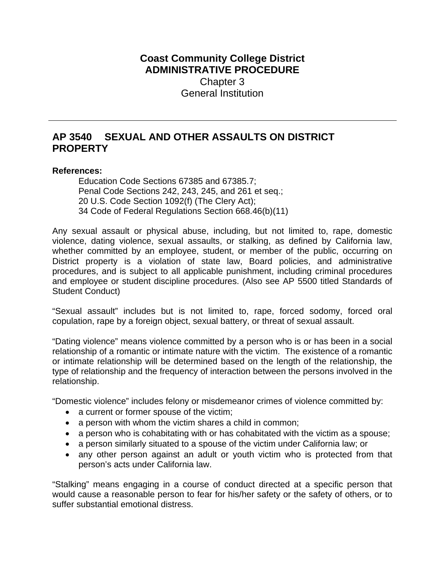## **Coast Community College District ADMINISTRATIVE PROCEDURE** Chapter 3 General Institution

## **AP 3540 SEXUAL AND OTHER ASSAULTS ON DISTRICT PROPERTY**

## **References:**

Education Code Sections 67385 and 67385.7; Penal Code Sections 242, 243, 245, and 261 et seq.; 20 U.S. Code Section 1092(f) (The Clery Act); 34 Code of Federal Regulations Section 668.46(b)(11)

Any sexual assault or physical abuse, including, but not limited to, rape, domestic violence, dating violence, sexual assaults, or stalking, as defined by California law, whether committed by an employee, student, or member of the public, occurring on District property is a violation of state law, Board policies, and administrative procedures, and is subject to all applicable punishment, including criminal procedures and employee or student discipline procedures. (Also see AP 5500 titled Standards of Student Conduct)

"Sexual assault" includes but is not limited to, rape, forced sodomy, forced oral copulation, rape by a foreign object, sexual battery, or threat of sexual assault.

"Dating violence" means violence committed by a person who is or has been in a social relationship of a romantic or intimate nature with the victim. The existence of a romantic or intimate relationship will be determined based on the length of the relationship, the type of relationship and the frequency of interaction between the persons involved in the relationship.

"Domestic violence" includes felony or misdemeanor crimes of violence committed by:

- a current or former spouse of the victim;
- a person with whom the victim shares a child in common;
- a person who is cohabitating with or has cohabitated with the victim as a spouse;
- a person similarly situated to a spouse of the victim under California law; or
- any other person against an adult or youth victim who is protected from that person's acts under California law.

"Stalking" means engaging in a course of conduct directed at a specific person that would cause a reasonable person to fear for his/her safety or the safety of others, or to suffer substantial emotional distress.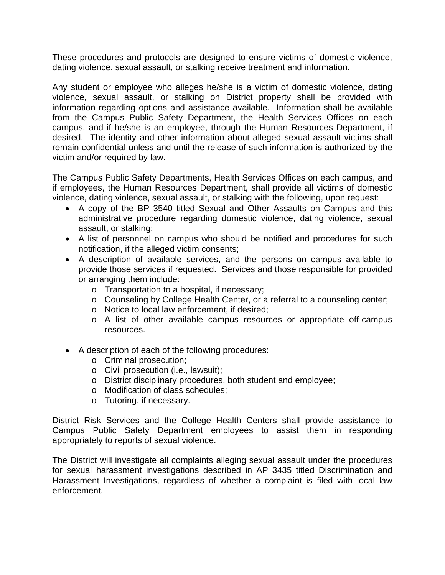These procedures and protocols are designed to ensure victims of domestic violence, dating violence, sexual assault, or stalking receive treatment and information.

Any student or employee who alleges he/she is a victim of domestic violence, dating violence, sexual assault, or stalking on District property shall be provided with information regarding options and assistance available. Information shall be available from the Campus Public Safety Department, the Health Services Offices on each campus, and if he/she is an employee, through the Human Resources Department, if desired. The identity and other information about alleged sexual assault victims shall remain confidential unless and until the release of such information is authorized by the victim and/or required by law.

The Campus Public Safety Departments, Health Services Offices on each campus, and if employees, the Human Resources Department, shall provide all victims of domestic violence, dating violence, sexual assault, or stalking with the following, upon request:

- A copy of the BP 3540 titled Sexual and Other Assaults on Campus and this administrative procedure regarding domestic violence, dating violence, sexual assault, or stalking;
- A list of personnel on campus who should be notified and procedures for such notification, if the alleged victim consents;
- A description of available services, and the persons on campus available to provide those services if requested. Services and those responsible for provided or arranging them include:
	- o Transportation to a hospital, if necessary;
	- o Counseling by College Health Center, or a referral to a counseling center;
	- o Notice to local law enforcement, if desired;
	- o A list of other available campus resources or appropriate off-campus resources.
- A description of each of the following procedures:
	- o Criminal prosecution;
	- o Civil prosecution (i.e., lawsuit);
	- o District disciplinary procedures, both student and employee;
	- o Modification of class schedules;
	- o Tutoring, if necessary.

District Risk Services and the College Health Centers shall provide assistance to Campus Public Safety Department employees to assist them in responding appropriately to reports of sexual violence.

The District will investigate all complaints alleging sexual assault under the procedures for sexual harassment investigations described in AP 3435 titled Discrimination and Harassment Investigations, regardless of whether a complaint is filed with local law enforcement.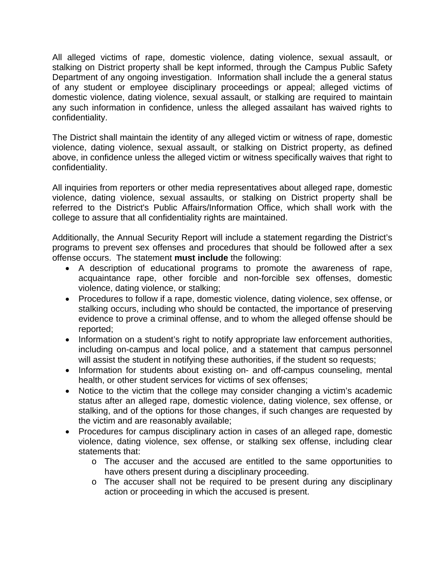All alleged victims of rape, domestic violence, dating violence, sexual assault, or stalking on District property shall be kept informed, through the Campus Public Safety Department of any ongoing investigation. Information shall include the a general status of any student or employee disciplinary proceedings or appeal; alleged victims of domestic violence, dating violence, sexual assault, or stalking are required to maintain any such information in confidence, unless the alleged assailant has waived rights to confidentiality.

The District shall maintain the identity of any alleged victim or witness of rape, domestic violence, dating violence, sexual assault, or stalking on District property, as defined above, in confidence unless the alleged victim or witness specifically waives that right to confidentiality.

All inquiries from reporters or other media representatives about alleged rape, domestic violence, dating violence, sexual assaults, or stalking on District property shall be referred to the District's Public Affairs/Information Office, which shall work with the college to assure that all confidentiality rights are maintained.

Additionally, the Annual Security Report will include a statement regarding the District's programs to prevent sex offenses and procedures that should be followed after a sex offense occurs. The statement **must include** the following:

- A description of educational programs to promote the awareness of rape, acquaintance rape, other forcible and non-forcible sex offenses, domestic violence, dating violence, or stalking;
- Procedures to follow if a rape, domestic violence, dating violence, sex offense, or stalking occurs, including who should be contacted, the importance of preserving evidence to prove a criminal offense, and to whom the alleged offense should be reported;
- Information on a student's right to notify appropriate law enforcement authorities, including on-campus and local police, and a statement that campus personnel will assist the student in notifying these authorities, if the student so requests;
- Information for students about existing on- and off-campus counseling, mental health, or other student services for victims of sex offenses;
- Notice to the victim that the college may consider changing a victim's academic status after an alleged rape, domestic violence, dating violence, sex offense, or stalking, and of the options for those changes, if such changes are requested by the victim and are reasonably available;
- Procedures for campus disciplinary action in cases of an alleged rape, domestic violence, dating violence, sex offense, or stalking sex offense, including clear statements that:
	- o The accuser and the accused are entitled to the same opportunities to have others present during a disciplinary proceeding.
	- o The accuser shall not be required to be present during any disciplinary action or proceeding in which the accused is present.